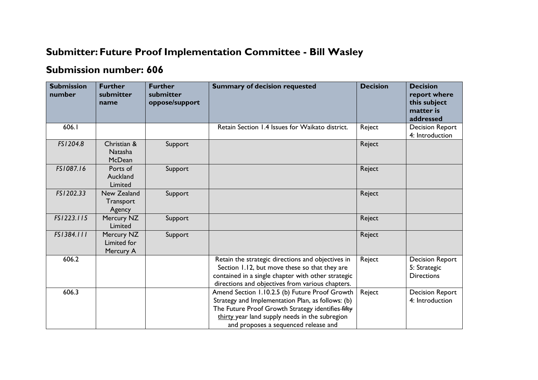## **Submitter: Future Proof Implementation Committee - Bill Wasley**

## **Submission number: 606**

| <b>Submission</b><br>number | <b>Further</b><br>submitter<br>name    | <b>Further</b><br>submitter<br>oppose/support | <b>Summary of decision requested</b>                                                                                                                                                                                                               | <b>Decision</b> | <b>Decision</b><br>report where<br>this subject<br>matter is<br>addressed |
|-----------------------------|----------------------------------------|-----------------------------------------------|----------------------------------------------------------------------------------------------------------------------------------------------------------------------------------------------------------------------------------------------------|-----------------|---------------------------------------------------------------------------|
| 606.I                       |                                        |                                               | Retain Section 1.4 Issues for Waikato district.                                                                                                                                                                                                    | Reject          | <b>Decision Report</b><br>4: Introduction                                 |
| FS1204.8                    | Christian &<br>Natasha<br>McDean       | Support                                       |                                                                                                                                                                                                                                                    | Reject          |                                                                           |
| FS1087.16                   | Ports of<br>Auckland<br>Limited        | Support                                       |                                                                                                                                                                                                                                                    | Reject          |                                                                           |
| FS1202.33                   | New Zealand<br>Transport<br>Agency     | Support                                       |                                                                                                                                                                                                                                                    | Reject          |                                                                           |
| FS1223.115                  | Mercury NZ<br>Limited                  | Support                                       |                                                                                                                                                                                                                                                    | Reject          |                                                                           |
| FS1384.111                  | Mercury NZ<br>Limited for<br>Mercury A | Support                                       |                                                                                                                                                                                                                                                    | Reject          |                                                                           |
| 606.2                       |                                        |                                               | Retain the strategic directions and objectives in<br>Section 1.12, but move these so that they are<br>contained in a single chapter with other strategic<br>directions and objectives from various chapters.                                       | Reject          | <b>Decision Report</b><br>5: Strategic<br><b>Directions</b>               |
| 606.3                       |                                        |                                               | Amend Section 1.10.2.5 (b) Future Proof Growth<br>Strategy and Implementation Plan, as follows: (b)<br>The Future Proof Growth Strategy identifies-fifty<br>thirty year land supply needs in the subregion<br>and proposes a sequenced release and | Reject          | <b>Decision Report</b><br>4: Introduction                                 |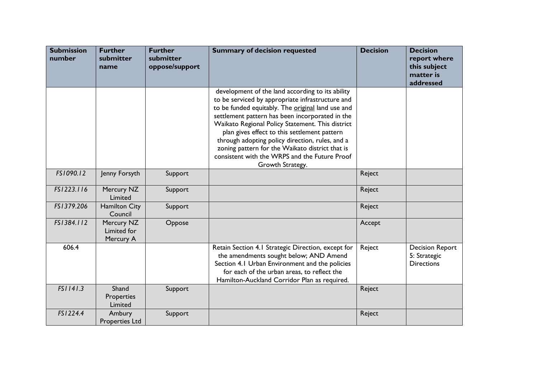| <b>Submission</b><br>number | <b>Further</b><br>submitter<br>name    | <b>Further</b><br>submitter<br>oppose/support | <b>Summary of decision requested</b>                                                                                                                                                                                                                                                                                                                                                                                                                                                        | <b>Decision</b> | <b>Decision</b><br>report where<br>this subject<br>matter is<br>addressed |
|-----------------------------|----------------------------------------|-----------------------------------------------|---------------------------------------------------------------------------------------------------------------------------------------------------------------------------------------------------------------------------------------------------------------------------------------------------------------------------------------------------------------------------------------------------------------------------------------------------------------------------------------------|-----------------|---------------------------------------------------------------------------|
|                             |                                        |                                               | development of the land according to its ability<br>to be serviced by appropriate infrastructure and<br>to be funded equitably. The original land use and<br>settlement pattern has been incorporated in the<br>Waikato Regional Policy Statement. This district<br>plan gives effect to this settlement pattern<br>through adopting policy direction, rules, and a<br>zoning pattern for the Waikato district that is<br>consistent with the WRPS and the Future Proof<br>Growth Strategy. |                 |                                                                           |
| FS1090.12                   | Jenny Forsyth                          | Support                                       |                                                                                                                                                                                                                                                                                                                                                                                                                                                                                             | Reject          |                                                                           |
| FS1223.116                  | Mercury NZ<br>Limited                  | Support                                       |                                                                                                                                                                                                                                                                                                                                                                                                                                                                                             | Reject          |                                                                           |
| FS1379.206                  | <b>Hamilton City</b><br>Council        | Support                                       |                                                                                                                                                                                                                                                                                                                                                                                                                                                                                             | Reject          |                                                                           |
| FS1384.112                  | Mercury NZ<br>Limited for<br>Mercury A | Oppose                                        |                                                                                                                                                                                                                                                                                                                                                                                                                                                                                             | Accept          |                                                                           |
| 606.4                       |                                        |                                               | Retain Section 4.1 Strategic Direction, except for<br>the amendments sought below; AND Amend<br>Section 4.1 Urban Environment and the policies<br>for each of the urban areas, to reflect the<br>Hamilton-Auckland Corridor Plan as required.                                                                                                                                                                                                                                               | Reject          | <b>Decision Report</b><br>5: Strategic<br><b>Directions</b>               |
| FS1141.3                    | Shand<br>Properties<br>Limited         | Support                                       |                                                                                                                                                                                                                                                                                                                                                                                                                                                                                             | Reject          |                                                                           |
| FS1224.4                    | Ambury<br><b>Properties Ltd</b>        | Support                                       |                                                                                                                                                                                                                                                                                                                                                                                                                                                                                             | Reject          |                                                                           |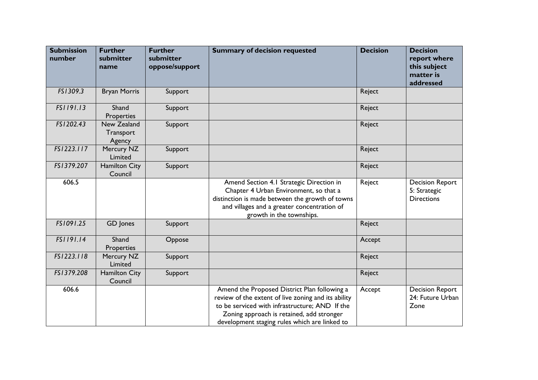| <b>Submission</b><br>number | <b>Further</b><br>submitter<br>name | <b>Further</b><br>submitter<br>oppose/support | <b>Summary of decision requested</b>                                                                                                                                                                                                                | <b>Decision</b> | <b>Decision</b><br>report where<br>this subject<br>matter is<br>addressed |
|-----------------------------|-------------------------------------|-----------------------------------------------|-----------------------------------------------------------------------------------------------------------------------------------------------------------------------------------------------------------------------------------------------------|-----------------|---------------------------------------------------------------------------|
| FS1309.3                    | <b>Bryan Morris</b>                 | Support                                       |                                                                                                                                                                                                                                                     | Reject          |                                                                           |
| FS1191.13                   | Shand<br>Properties                 | Support                                       |                                                                                                                                                                                                                                                     | Reject          |                                                                           |
| FS1202.43                   | New Zealand<br>Transport<br>Agency  | Support                                       |                                                                                                                                                                                                                                                     | Reject          |                                                                           |
| FS1223.117                  | Mercury NZ<br>Limited               | Support                                       |                                                                                                                                                                                                                                                     | Reject          |                                                                           |
| FS1379.207                  | <b>Hamilton City</b><br>Council     | Support                                       |                                                                                                                                                                                                                                                     | Reject          |                                                                           |
| 606.5                       |                                     |                                               | Amend Section 4.1 Strategic Direction in<br>Chapter 4 Urban Environment, so that a<br>distinction is made between the growth of towns<br>and villages and a greater concentration of<br>growth in the townships.                                    | Reject          | <b>Decision Report</b><br>5: Strategic<br><b>Directions</b>               |
| FS1091.25                   | GD Jones                            | Support                                       |                                                                                                                                                                                                                                                     | Reject          |                                                                           |
| FS1191.14                   | Shand<br><b>Properties</b>          | Oppose                                        |                                                                                                                                                                                                                                                     | Accept          |                                                                           |
| FS1223.118                  | Mercury NZ<br>Limited               | Support                                       |                                                                                                                                                                                                                                                     | Reject          |                                                                           |
| FS1379.208                  | <b>Hamilton City</b><br>Council     | Support                                       |                                                                                                                                                                                                                                                     | Reject          |                                                                           |
| 606.6                       |                                     |                                               | Amend the Proposed District Plan following a<br>review of the extent of live zoning and its ability<br>to be serviced with infrastructure; AND If the<br>Zoning approach is retained, add stronger<br>development staging rules which are linked to | Accept          | <b>Decision Report</b><br>24: Future Urban<br>Zone                        |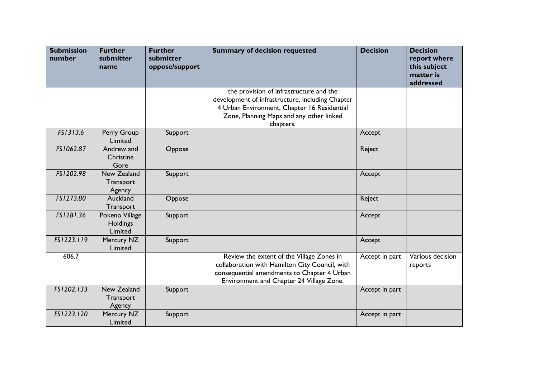| <b>Submission</b><br>number | <b>Further</b><br>submitter<br>name   | <b>Further</b><br>submitter<br>oppose/support | <b>Summary of decision requested</b>                                                                                                                                                                | <b>Decision</b> | <b>Decision</b><br>report where<br>this subject<br>matter is<br>addressed |
|-----------------------------|---------------------------------------|-----------------------------------------------|-----------------------------------------------------------------------------------------------------------------------------------------------------------------------------------------------------|-----------------|---------------------------------------------------------------------------|
|                             |                                       |                                               | the provision of infrastructure and the<br>development of infrastructure, including Chapter<br>4 Urban Environment, Chapter 16 Residential<br>Zone, Planning Maps and any other linked<br>chapters. |                 |                                                                           |
| FS1313.6                    | Perry Group<br>Limited                | Support                                       |                                                                                                                                                                                                     | Accept          |                                                                           |
| FS1062.87                   | Andrew and<br>Christine<br>Gore       | Oppose                                        |                                                                                                                                                                                                     | Reject          |                                                                           |
| FS1202.98                   | New Zealand<br>Transport<br>Agency    | Support                                       |                                                                                                                                                                                                     | Accept          |                                                                           |
| FS1273.80                   | Auckland<br>Transport                 | Oppose                                        |                                                                                                                                                                                                     | Reject          |                                                                           |
| FS1281.36                   | Pokeno Village<br>Holdings<br>Limited | Support                                       |                                                                                                                                                                                                     | Accept          |                                                                           |
| FS1223.119                  | Mercury NZ<br>Limited                 | Support                                       |                                                                                                                                                                                                     | Accept          |                                                                           |
| 606.7                       |                                       |                                               | Review the extent of the Village Zones in<br>collaboration with Hamilton City Council, with<br>consequential amendments to Chapter 4 Urban<br>Environment and Chapter 24 Village Zone.              | Accept in part  | Various decision<br>reports                                               |
| FS1202.133                  | New Zealand<br>Transport<br>Agency    | Support                                       |                                                                                                                                                                                                     | Accept in part  |                                                                           |
| FS1223.120                  | Mercury NZ<br>Limited                 | Support                                       |                                                                                                                                                                                                     | Accept in part  |                                                                           |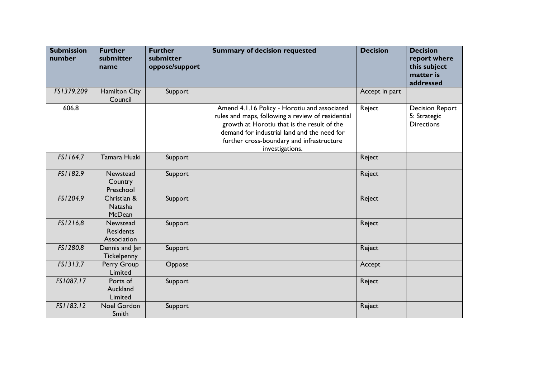| <b>Submission</b><br>number | <b>Further</b><br>submitter<br>name         | <b>Further</b><br>submitter<br>oppose/support | <b>Summary of decision requested</b>                                                                                                                                                                                                                            | <b>Decision</b> | <b>Decision</b><br>report where<br>this subject<br>matter is<br>addressed |
|-----------------------------|---------------------------------------------|-----------------------------------------------|-----------------------------------------------------------------------------------------------------------------------------------------------------------------------------------------------------------------------------------------------------------------|-----------------|---------------------------------------------------------------------------|
| FS1379.209                  | <b>Hamilton City</b><br>Council             | Support                                       |                                                                                                                                                                                                                                                                 | Accept in part  |                                                                           |
| 606.8                       |                                             |                                               | Amend 4.1.16 Policy - Horotiu and associated<br>rules and maps, following a review of residential<br>growth at Horotiu that is the result of the<br>demand for industrial land and the need for<br>further cross-boundary and infrastructure<br>investigations. | Reject          | <b>Decision Report</b><br>5: Strategic<br><b>Directions</b>               |
| FS1164.7                    | Tamara Huaki                                | Support                                       |                                                                                                                                                                                                                                                                 | Reject          |                                                                           |
| FS1182.9                    | Newstead<br>Country<br>Preschool            | Support                                       |                                                                                                                                                                                                                                                                 | Reject          |                                                                           |
| FS1204.9                    | Christian &<br>Natasha<br><b>McDean</b>     | Support                                       |                                                                                                                                                                                                                                                                 | Reject          |                                                                           |
| FS1216.8                    | Newstead<br><b>Residents</b><br>Association | Support                                       |                                                                                                                                                                                                                                                                 | Reject          |                                                                           |
| FS1280.8                    | Dennis and Jan<br>Tickelpenny               | Support                                       |                                                                                                                                                                                                                                                                 | Reject          |                                                                           |
| FS1313.7                    | Perry Group<br>Limited                      | Oppose                                        |                                                                                                                                                                                                                                                                 | Accept          |                                                                           |
| FS1087.17                   | Ports of<br>Auckland<br>Limited             | Support                                       |                                                                                                                                                                                                                                                                 | Reject          |                                                                           |
| FS1183.12                   | Noel Gordon<br>Smith                        | Support                                       |                                                                                                                                                                                                                                                                 | Reject          |                                                                           |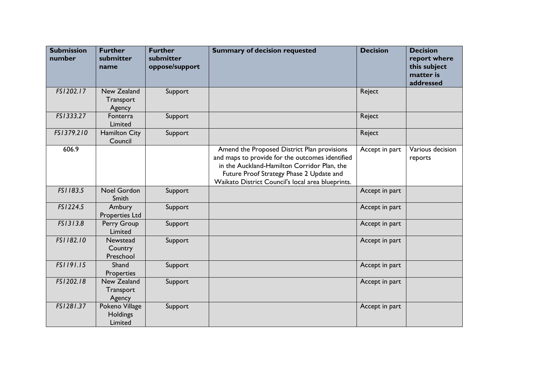| <b>Submission</b><br>number | <b>Further</b><br>submitter<br>name          | <b>Further</b><br>submitter<br>oppose/support | <b>Summary of decision requested</b>                                                                                                                                                                                                           | <b>Decision</b> | <b>Decision</b><br>report where<br>this subject<br>matter is<br>addressed |
|-----------------------------|----------------------------------------------|-----------------------------------------------|------------------------------------------------------------------------------------------------------------------------------------------------------------------------------------------------------------------------------------------------|-----------------|---------------------------------------------------------------------------|
| FS1202.17                   | New Zealand<br>Transport<br>Agency           | Support                                       |                                                                                                                                                                                                                                                | Reject          |                                                                           |
| FS1333.27                   | Fonterra<br>Limited                          | Support                                       |                                                                                                                                                                                                                                                | Reject          |                                                                           |
| FS1379.210                  | <b>Hamilton City</b><br>Council              | Support                                       |                                                                                                                                                                                                                                                | Reject          |                                                                           |
| 606.9                       |                                              |                                               | Amend the Proposed District Plan provisions<br>and maps to provide for the outcomes identified<br>in the Auckland-Hamilton Corridor Plan, the<br>Future Proof Strategy Phase 2 Update and<br>Waikato District Council's local area blueprints. | Accept in part  | Various decision<br>reports                                               |
| FS1183.5                    | Noel Gordon<br>Smith                         | Support                                       |                                                                                                                                                                                                                                                | Accept in part  |                                                                           |
| FS1224.5                    | Ambury<br>Properties Ltd                     | Support                                       |                                                                                                                                                                                                                                                | Accept in part  |                                                                           |
| FS1313.8                    | Perry Group<br>Limited                       | Support                                       |                                                                                                                                                                                                                                                | Accept in part  |                                                                           |
| FS1182.10                   | Newstead<br>Country<br>Preschool             | Support                                       |                                                                                                                                                                                                                                                | Accept in part  |                                                                           |
| FS1191.15                   | Shand<br>Properties                          | Support                                       |                                                                                                                                                                                                                                                | Accept in part  |                                                                           |
| FS1202.18                   | New Zealand<br>Transport<br>Agency           | Support                                       |                                                                                                                                                                                                                                                | Accept in part  |                                                                           |
| FS1281.37                   | Pokeno Village<br><b>Holdings</b><br>Limited | Support                                       |                                                                                                                                                                                                                                                | Accept in part  |                                                                           |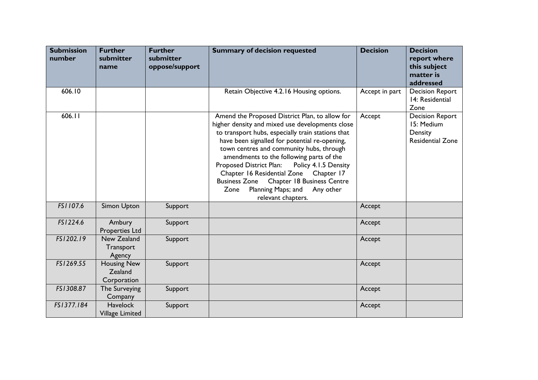| <b>Submission</b><br>number | <b>Further</b><br>submitter<br>name          | <b>Further</b><br>submitter<br>oppose/support | <b>Summary of decision requested</b>                                                                                                                                                                                                                                                                                                                                                                                                                                                                                          | <b>Decision</b> | <b>Decision</b><br>report where<br>this subject<br>matter is<br>addressed  |
|-----------------------------|----------------------------------------------|-----------------------------------------------|-------------------------------------------------------------------------------------------------------------------------------------------------------------------------------------------------------------------------------------------------------------------------------------------------------------------------------------------------------------------------------------------------------------------------------------------------------------------------------------------------------------------------------|-----------------|----------------------------------------------------------------------------|
| 606.10                      |                                              |                                               | Retain Objective 4.2.16 Housing options.                                                                                                                                                                                                                                                                                                                                                                                                                                                                                      | Accept in part  | <b>Decision Report</b><br>14: Residential<br>Zone                          |
| 606.11                      |                                              |                                               | Amend the Proposed District Plan, to allow for<br>higher density and mixed use developments close<br>to transport hubs, especially train stations that<br>have been signalled for potential re-opening,<br>town centres and community hubs, through<br>amendments to the following parts of the<br>Proposed District Plan:<br>Policy 4.1.5 Density<br>Chapter 16 Residential Zone<br>Chapter 17<br><b>Business Zone</b><br><b>Chapter 18 Business Centre</b><br>Planning Maps; and<br>Any other<br>Zone<br>relevant chapters. | Accept          | <b>Decision Report</b><br>15: Medium<br>Density<br><b>Residential Zone</b> |
| FS1107.6                    | Simon Upton                                  | Support                                       |                                                                                                                                                                                                                                                                                                                                                                                                                                                                                                                               | Accept          |                                                                            |
| FS1224.6                    | Ambury<br><b>Properties Ltd</b>              | Support                                       |                                                                                                                                                                                                                                                                                                                                                                                                                                                                                                                               | Accept          |                                                                            |
| FS1202.19                   | New Zealand<br>Transport<br>Agency           | Support                                       |                                                                                                                                                                                                                                                                                                                                                                                                                                                                                                                               | Accept          |                                                                            |
| FS1269.55                   | <b>Housing New</b><br>Zealand<br>Corporation | Support                                       |                                                                                                                                                                                                                                                                                                                                                                                                                                                                                                                               | Accept          |                                                                            |
| FS1308.87                   | The Surveying<br>Company                     | Support                                       |                                                                                                                                                                                                                                                                                                                                                                                                                                                                                                                               | Accept          |                                                                            |
| FS1377.184                  | <b>Havelock</b><br>Village Limited           | Support                                       |                                                                                                                                                                                                                                                                                                                                                                                                                                                                                                                               | Accept          |                                                                            |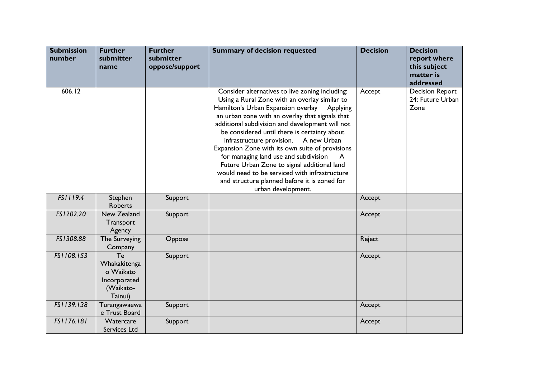| <b>Submission</b><br>number | <b>Further</b><br>submitter<br>name                                     | <b>Further</b><br>submitter<br>oppose/support | <b>Summary of decision requested</b>                                                                                                                                                                                                                                                                                                                                                                                                                                                                                                                                                                                | <b>Decision</b> | <b>Decision</b><br>report where<br>this subject<br>matter is<br>addressed |
|-----------------------------|-------------------------------------------------------------------------|-----------------------------------------------|---------------------------------------------------------------------------------------------------------------------------------------------------------------------------------------------------------------------------------------------------------------------------------------------------------------------------------------------------------------------------------------------------------------------------------------------------------------------------------------------------------------------------------------------------------------------------------------------------------------------|-----------------|---------------------------------------------------------------------------|
| 606.12                      |                                                                         |                                               | Consider alternatives to live zoning including:<br>Using a Rural Zone with an overlay similar to<br>Hamilton's Urban Expansion overlay<br>Applying<br>an urban zone with an overlay that signals that<br>additional subdivision and development will not<br>be considered until there is certainty about<br>infrastructure provision. A new Urban<br>Expansion Zone with its own suite of provisions<br>for managing land use and subdivision<br>Future Urban Zone to signal additional land<br>would need to be serviced with infrastructure<br>and structure planned before it is zoned for<br>urban development. | Accept          | <b>Decision Report</b><br>24: Future Urban<br>Zone                        |
| FS1119.4                    | Stephen<br>Roberts                                                      | Support                                       |                                                                                                                                                                                                                                                                                                                                                                                                                                                                                                                                                                                                                     | Accept          |                                                                           |
| FS1202.20                   | New Zealand<br>Transport<br>Agency                                      | Support                                       |                                                                                                                                                                                                                                                                                                                                                                                                                                                                                                                                                                                                                     | Accept          |                                                                           |
| FS1308.88                   | The Surveying<br>Company                                                | Oppose                                        |                                                                                                                                                                                                                                                                                                                                                                                                                                                                                                                                                                                                                     | Reject          |                                                                           |
| FS1108.153                  | Te<br>Whakakitenga<br>o Waikato<br>Incorporated<br>(Waikato-<br>Tainui) | Support                                       |                                                                                                                                                                                                                                                                                                                                                                                                                                                                                                                                                                                                                     | Accept          |                                                                           |
| FS1139.138                  | Turangawaewa<br>e Trust Board                                           | Support                                       |                                                                                                                                                                                                                                                                                                                                                                                                                                                                                                                                                                                                                     | Accept          |                                                                           |
| FS1176.181                  | Watercare<br>Services Ltd                                               | Support                                       |                                                                                                                                                                                                                                                                                                                                                                                                                                                                                                                                                                                                                     | Accept          |                                                                           |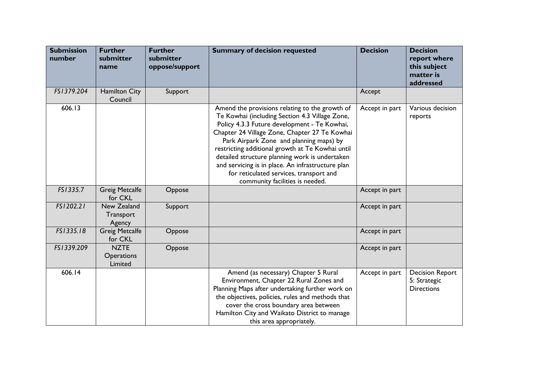| <b>Submission</b><br>number | <b>Further</b><br>submitter<br>name         | <b>Further</b><br>submitter<br>oppose/support | <b>Summary of decision requested</b>                                                                                                                                                                                                                                                                                                                                                                                                                                                  | <b>Decision</b> | <b>Decision</b><br>report where<br>this subject<br>matter is<br>addressed |
|-----------------------------|---------------------------------------------|-----------------------------------------------|---------------------------------------------------------------------------------------------------------------------------------------------------------------------------------------------------------------------------------------------------------------------------------------------------------------------------------------------------------------------------------------------------------------------------------------------------------------------------------------|-----------------|---------------------------------------------------------------------------|
| FS1379.204                  | <b>Hamilton City</b><br>Council             | Support                                       |                                                                                                                                                                                                                                                                                                                                                                                                                                                                                       | Accept          |                                                                           |
| 606.13                      |                                             |                                               | Amend the provisions relating to the growth of<br>Te Kowhai (including Section 4.3 Village Zone,<br>Policy 4.3.3 Future development - Te Kowhai,<br>Chapter 24 Village Zone, Chapter 27 Te Kowhai<br>Park Airpark Zone and planning maps) by<br>restricting additional growth at Te Kowhai until<br>detailed structure planning work is undertaken<br>and servicing is in place. An infrastructure plan<br>for reticulated services, transport and<br>community facilities is needed. | Accept in part  | Various decision<br>reports                                               |
| FS1335.7                    | <b>Greig Metcalfe</b><br>for CKL            | Oppose                                        |                                                                                                                                                                                                                                                                                                                                                                                                                                                                                       | Accept in part  |                                                                           |
| FS1202.21                   | New Zealand<br>Transport<br>Agency          | Support                                       |                                                                                                                                                                                                                                                                                                                                                                                                                                                                                       | Accept in part  |                                                                           |
| FS1335.18                   | <b>Greig Metcalfe</b><br>for CKL            | Oppose                                        |                                                                                                                                                                                                                                                                                                                                                                                                                                                                                       | Accept in part  |                                                                           |
| FS1339.209                  | <b>NZTE</b><br><b>Operations</b><br>Limited | Oppose                                        |                                                                                                                                                                                                                                                                                                                                                                                                                                                                                       | Accept in part  |                                                                           |
| 606.14                      |                                             |                                               | Amend (as necessary) Chapter 5 Rural<br>Environment, Chapter 22 Rural Zones and<br>Planning Maps after undertaking further work on<br>the objectives, policies, rules and methods that<br>cover the cross boundary area between<br>Hamilton City and Waikato District to manage<br>this area appropriately.                                                                                                                                                                           | Accept in part  | <b>Decision Report</b><br>5: Strategic<br><b>Directions</b>               |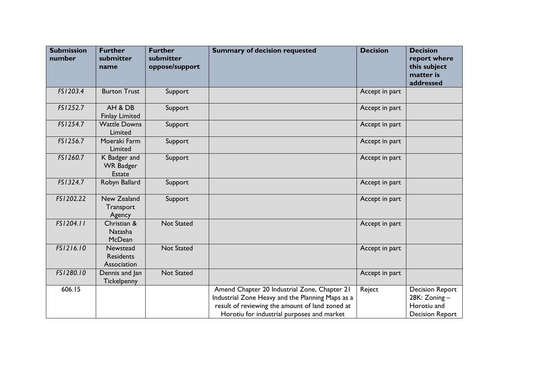| <b>Submission</b><br>number | <b>Further</b><br>submitter<br>name               | <b>Further</b><br>submitter<br>oppose/support | <b>Summary of decision requested</b>                                                                                                                                                              | <b>Decision</b> | <b>Decision</b><br>report where<br>this subject<br>matter is<br>addressed       |
|-----------------------------|---------------------------------------------------|-----------------------------------------------|---------------------------------------------------------------------------------------------------------------------------------------------------------------------------------------------------|-----------------|---------------------------------------------------------------------------------|
| FS1203.4                    | <b>Burton Trust</b>                               | Support                                       |                                                                                                                                                                                                   | Accept in part  |                                                                                 |
| FS1252.7                    | AH & DB<br><b>Finlay Limited</b>                  | Support                                       |                                                                                                                                                                                                   | Accept in part  |                                                                                 |
| FS1254.7                    | <b>Wattle Downs</b><br>Limited                    | Support                                       |                                                                                                                                                                                                   | Accept in part  |                                                                                 |
| FS1256.7                    | Moeraki Farm<br>Limited                           | Support                                       |                                                                                                                                                                                                   | Accept in part  |                                                                                 |
| FS1260.7                    | K Badger and<br><b>WR Badger</b><br><b>Estate</b> | Support                                       |                                                                                                                                                                                                   | Accept in part  |                                                                                 |
| FS1324.7                    | Robyn Ballard                                     | Support                                       |                                                                                                                                                                                                   | Accept in part  |                                                                                 |
| FS1202.22                   | New Zealand<br>Transport<br>Agency                | Support                                       |                                                                                                                                                                                                   | Accept in part  |                                                                                 |
| FS1204.11                   | Christian &<br>Natasha<br>McDean                  | <b>Not Stated</b>                             |                                                                                                                                                                                                   | Accept in part  |                                                                                 |
| FS1216.10                   | Newstead<br><b>Residents</b><br>Association       | Not Stated                                    |                                                                                                                                                                                                   | Accept in part  |                                                                                 |
| FS1280.10                   | Dennis and Jan<br>Tickelpenny                     | <b>Not Stated</b>                             |                                                                                                                                                                                                   | Accept in part  |                                                                                 |
| 606.15                      |                                                   |                                               | Amend Chapter 20 Industrial Zone, Chapter 21<br>Industrial Zone Heavy and the Planning Maps as a<br>result of reviewing the amount of land zoned at<br>Horotiu for industrial purposes and market | Reject          | <b>Decision Report</b><br>28K: Zoning-<br>Horotiu and<br><b>Decision Report</b> |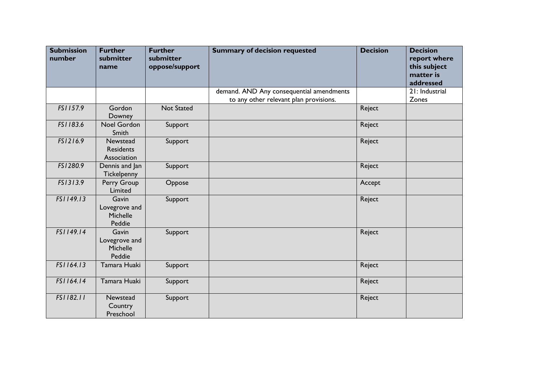| <b>Submission</b><br>number | <b>Further</b><br>submitter<br>name          | <b>Further</b><br>submitter<br>oppose/support | <b>Summary of decision requested</b>     | <b>Decision</b> | <b>Decision</b><br>report where<br>this subject<br>matter is<br>addressed |
|-----------------------------|----------------------------------------------|-----------------------------------------------|------------------------------------------|-----------------|---------------------------------------------------------------------------|
|                             |                                              |                                               | demand. AND Any consequential amendments |                 | 21: Industrial                                                            |
| FS1157.9                    | Gordon<br>Downey                             | Not Stated                                    | to any other relevant plan provisions.   | Reject          | Zones                                                                     |
| FS1183.6                    | Noel Gordon<br>Smith                         | Support                                       |                                          | Reject          |                                                                           |
| FS1216.9                    | Newstead<br><b>Residents</b><br>Association  | Support                                       |                                          | Reject          |                                                                           |
| FS1280.9                    | Dennis and Jan<br>Tickelpenny                | Support                                       |                                          | Reject          |                                                                           |
| FS1313.9                    | Perry Group<br>Limited                       | Oppose                                        |                                          | Accept          |                                                                           |
| FS1149.13                   | Gavin<br>Lovegrove and<br>Michelle<br>Peddie | Support                                       |                                          | Reject          |                                                                           |
| FS1149.14                   | Gavin<br>Lovegrove and<br>Michelle<br>Peddie | Support                                       |                                          | Reject          |                                                                           |
| FS1164.13                   | Tamara Huaki                                 | Support                                       |                                          | Reject          |                                                                           |
| FS1164.14                   | Tamara Huaki                                 | Support                                       |                                          | Reject          |                                                                           |
| FS1182.11                   | Newstead<br>Country<br>Preschool             | Support                                       |                                          | Reject          |                                                                           |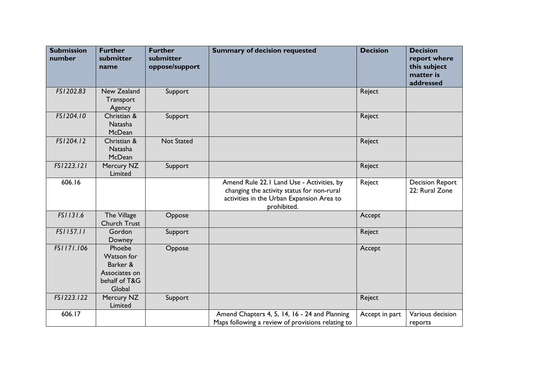| <b>Submission</b><br>number | <b>Further</b><br>submitter<br>name                                          | <b>Further</b><br>submitter<br>oppose/support | <b>Summary of decision requested</b>                                                                                                                | <b>Decision</b> | <b>Decision</b><br>report where<br>this subject<br>matter is<br>addressed |
|-----------------------------|------------------------------------------------------------------------------|-----------------------------------------------|-----------------------------------------------------------------------------------------------------------------------------------------------------|-----------------|---------------------------------------------------------------------------|
| FS1202.83                   | New Zealand<br>Transport<br>Agency                                           | Support                                       |                                                                                                                                                     | Reject          |                                                                           |
| FS1204.10                   | Christian &<br><b>Natasha</b><br>McDean                                      | Support                                       |                                                                                                                                                     | Reject          |                                                                           |
| FS1204.12                   | Christian &<br><b>Natasha</b><br>McDean                                      | <b>Not Stated</b>                             |                                                                                                                                                     | Reject          |                                                                           |
| FS1223.121                  | Mercury NZ<br>Limited                                                        | Support                                       |                                                                                                                                                     | Reject          |                                                                           |
| 606.16                      |                                                                              |                                               | Amend Rule 22.1 Land Use - Activities, by<br>changing the activity status for non-rural<br>activities in the Urban Expansion Area to<br>prohibited. | Reject          | <b>Decision Report</b><br>22: Rural Zone                                  |
| FS1131.6                    | The Village<br><b>Church Trust</b>                                           | Oppose                                        |                                                                                                                                                     | Accept          |                                                                           |
| FS1157.11                   | Gordon<br><b>Downey</b>                                                      | Support                                       |                                                                                                                                                     | Reject          |                                                                           |
| FS1171.106                  | Phoebe<br>Watson for<br>Barker &<br>Associates on<br>behalf of T&G<br>Global | Oppose                                        |                                                                                                                                                     | Accept          |                                                                           |
| FS1223.122                  | Mercury NZ<br>Limited                                                        | Support                                       |                                                                                                                                                     | Reject          |                                                                           |
| 606.17                      |                                                                              |                                               | Amend Chapters 4, 5, 14, 16 - 24 and Planning<br>Maps following a review of provisions relating to                                                  | Accept in part  | Various decision<br>reports                                               |